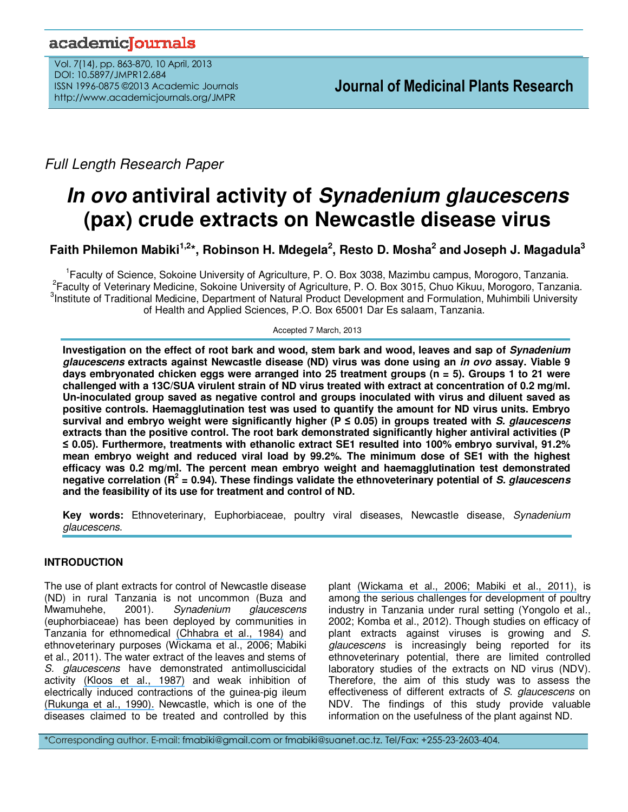# academiclournals

Vol. 7(14), pp. 863-870, 10 April, 2013 DOI: 10.5897/JMPR12.684 ISSN 1996-0875 ©2013 Academic Journals http://www.academicjournals.org/JMPR

*Full Length Research Paper*

# **In ovo antiviral activity of Synadenium glaucescens (pax) crude extracts on Newcastle disease virus**

**Faith Philemon Mabiki1,2\*, Robinson H. Mdegela<sup>2</sup> , Resto D. Mosha<sup>2</sup> and Joseph J. Magadula<sup>3</sup>**

1 Faculty of Science, Sokoine University of Agriculture, P. O. Box 3038, Mazimbu campus, Morogoro, Tanzania. 2 Faculty of Veterinary Medicine, Sokoine University of Agriculture, P. O. Box 3015, Chuo Kikuu, Morogoro, Tanzania. <sup>3</sup>Institute of Traditional Medicine, Department of Natural Product Development and Formulation, Muhimbili University of Health and Applied Sciences, P.O. Box 65001 Dar Es salaam, Tanzania.

Accepted 7 March, 2013

**Investigation on the effect of root bark and wood, stem bark and wood, leaves and sap of Synadenium glaucescens extracts against Newcastle disease (ND) virus was done using an in ovo assay. Viable 9 days embryonated chicken eggs were arranged into 25 treatment groups (n = 5). Groups 1 to 21 were challenged with a 13C/SUA virulent strain of ND virus treated with extract at concentration of 0.2 mg/ml. Un-inoculated group saved as negative control and groups inoculated with virus and diluent saved as positive controls. Haemagglutination test was used to quantify the amount for ND virus units. Embryo survival and embryo weight were significantly higher (P ≤ 0.05) in groups treated with S. glaucescens extracts than the positive control. The root bark demonstrated significantly higher antiviral activities (P ≤ 0.05). Furthermore, treatments with ethanolic extract SE1 resulted into 100% embryo survival, 91.2% mean embryo weight and reduced viral load by 99.2%. The minimum dose of SE1 with the highest efficacy was 0.2 mg/ml. The percent mean embryo weight and haemagglutination test demonstrated negative correlation (R<sup>2</sup> = 0.94). These findings validate the ethnoveterinary potential of S. glaucescens and the feasibility of its use for treatment and control of ND.** 

**Key words:** Ethnoveterinary, Euphorbiaceae, poultry viral diseases, Newcastle disease, *Synadenium glaucescens*.

# **INTRODUCTION**

The use of plant extracts for control of Newcastle disease (ND) in rural Tanzania is not uncommon (Buza and<br>Mwamuhehe. 2001). Synadenium alaucescens Mwamuhehe, 2001). *Synadenium glaucescens*  (euphorbiaceae) has been deployed by communities in Tanzania for ethnomedical [\(Chhabra et al., 1984\)](https://www.researchgate.net/publication/16703139_Phytochemical_Screening_of_Tanzanian_Medicinal_Plants?el=1_x_8&enrichId=rgreq-c8dedf4b-655f-45ad-b652-0d7fba67166b&enrichSource=Y292ZXJQYWdlOzI1NTcwNzc5OTtBUzo5NzI0NjU5NDk5NDE5M0AxNDAwMTk2ODAzODYy) and ethnoveterinary purposes (Wickama et al., 2006; Mabiki et al., 2011). The water extract of the leaves and stems of *S. glaucescens* have demonstrated antimolluscicidal activity [\(Kloos et al., 1987\)](https://www.researchgate.net/publication/19504431_Preliminary_evaluation_of_some_wild_and_cultivated_plants_for_snail_control_in_Machakos_District_Kenya?el=1_x_8&enrichId=rgreq-c8dedf4b-655f-45ad-b652-0d7fba67166b&enrichSource=Y292ZXJQYWdlOzI1NTcwNzc5OTtBUzo5NzI0NjU5NDk5NDE5M0AxNDAwMTk2ODAzODYy) and weak inhibition of electrically induced contractions of the guinea-pig ileum [\(Rukunga et al., 1990\).](https://www.researchgate.net/publication/224897757_Preliminary_chemical_characterization_of_pharmacologically_active_compounds_of_aqueous_extracts_of_synadenium_glaucescens?el=1_x_8&enrichId=rgreq-c8dedf4b-655f-45ad-b652-0d7fba67166b&enrichSource=Y292ZXJQYWdlOzI1NTcwNzc5OTtBUzo5NzI0NjU5NDk5NDE5M0AxNDAwMTk2ODAzODYy) Newcastle, which is one of the diseases claimed to be treated and controlled by this

plant [\(Wickama et al., 2006; Mabiki et al., 2011\),](https://www.researchgate.net/publication/237475758_ASSESSING_COMMUNITY_AND_RESOURCE_CONDITIONS_A_Participatory_Diagnosis_Report_for_the_Baga_Watershed_Lushoto_Tanzania?el=1_x_8&enrichId=rgreq-c8dedf4b-655f-45ad-b652-0d7fba67166b&enrichSource=Y292ZXJQYWdlOzI1NTcwNzc5OTtBUzo5NzI0NjU5NDk5NDE5M0AxNDAwMTk2ODAzODYy) is among the serious challenges for development of poultry industry in Tanzania under rural setting (Yongolo et al., 2002; Komba et al., 2012). Though studies on efficacy of plant extracts against viruses is growing and *S. glaucescens* is increasingly being reported for its ethnoveterinary potential, there are limited controlled laboratory studies of the extracts on ND virus (NDV). Therefore, the aim of this study was to assess the effectiveness of different extracts of *S. glaucescens* on NDV. The findings of this study provide valuable information on the usefulness of the plant against ND.

\*Corresponding author. E-mail: fmabiki@gmail.com or fmabiki@suanet.ac.tz. Tel/Fax: +255-23-2603-404.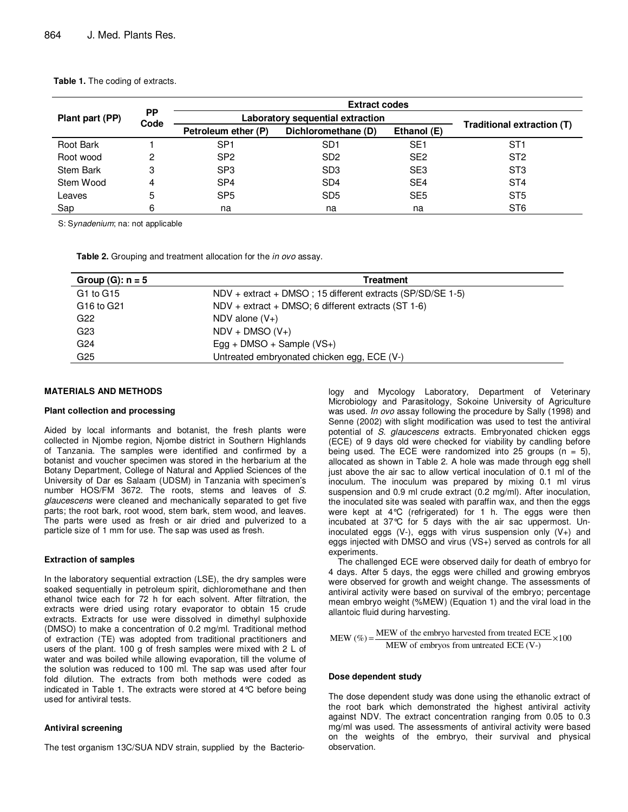| Plant part (PP)  | <b>PP</b><br>Code | <b>Extract codes</b>             |                     |                 |                            |  |
|------------------|-------------------|----------------------------------|---------------------|-----------------|----------------------------|--|
|                  |                   | Laboratory sequential extraction |                     |                 |                            |  |
|                  |                   | Petroleum ether (P)              | Dichloromethane (D) | Ethanol (E)     | Traditional extraction (T) |  |
| Root Bark        |                   | SP <sub>1</sub>                  | SD <sub>1</sub>     | SE <sub>1</sub> | ST1                        |  |
| Root wood        | 2                 | SP <sub>2</sub>                  | SD <sub>2</sub>     | SE <sub>2</sub> | ST <sub>2</sub>            |  |
| <b>Stem Bark</b> | 3                 | SP <sub>3</sub>                  | SD <sub>3</sub>     | SE <sub>3</sub> | ST <sub>3</sub>            |  |
| Stem Wood        | 4                 | SP <sub>4</sub>                  | SD <sub>4</sub>     | SE <sub>4</sub> | ST <sub>4</sub>            |  |
| Leaves           | 5                 | SP <sub>5</sub>                  | SD <sub>5</sub>     | SE <sub>5</sub> | ST <sub>5</sub>            |  |
| Sap              | 6                 | na                               | na                  | na              | ST <sub>6</sub>            |  |

**Table 1.** The coding of extracts.

S: S*ynadenium*; na: not applicable

**Table 2.** Grouping and treatment allocation for the *in ovo* assay.

| Group $(G)$ : $n = 5$ | Treatment                                                     |  |  |
|-----------------------|---------------------------------------------------------------|--|--|
| G1 to G15             | $NDV + extract + DMSO$ ; 15 different extracts (SP/SD/SE 1-5) |  |  |
| G16 to G21            | $NDV + extract + DMSO$ ; 6 different extracts (ST 1-6)        |  |  |
| G22                   | NDV alone $(V+)$                                              |  |  |
| G23                   | $NDV + DMSO (V+)$                                             |  |  |
| G <sub>24</sub>       | Egg + DMSO + Sample $(VS+)$                                   |  |  |
| G25                   | Untreated embryonated chicken egg, ECE (V-)                   |  |  |

#### **MATERIALS AND METHODS**

#### **Plant collection and processing**

Aided by local informants and botanist, the fresh plants were collected in Njombe region, Njombe district in Southern Highlands of Tanzania. The samples were identified and confirmed by a botanist and voucher specimen was stored in the herbarium at the Botany Department, College of Natural and Applied Sciences of the University of Dar es Salaam (UDSM) in Tanzania with specimen's number HOS/FM 3672. The roots, stems and leaves of *S. glaucescens* were cleaned and mechanically separated to get five parts; the root bark, root wood, stem bark, stem wood, and leaves. The parts were used as fresh or air dried and pulverized to a particle size of 1 mm for use. The sap was used as fresh.

#### **Extraction of samples**

In the laboratory sequential extraction (LSE), the dry samples were soaked sequentially in petroleum spirit, dichloromethane and then ethanol twice each for 72 h for each solvent. After filtration, the extracts were dried using rotary evaporator to obtain 15 crude extracts. Extracts for use were dissolved in dimethyl sulphoxide (DMSO) to make a concentration of 0.2 mg/ml. Traditional method of extraction (TE) was adopted from traditional practitioners and users of the plant. 100 g of fresh samples were mixed with 2 L of water and was boiled while allowing evaporation, till the volume of the solution was reduced to 100 ml. The sap was used after four fold dilution. The extracts from both methods were coded as indicated in Table 1. The extracts were stored at 4°C before being used for antiviral tests.

#### **Antiviral screening**

The test organism 13C/SUA NDV strain, supplied by the Bacterio-

logy and Mycology Laboratory, Department of Veterinary Microbiology and Parasitology, Sokoine University of Agriculture was used. *In ovo* assay following the procedure by Sally (1998) and Senne (2002) with slight modification was used to test the antiviral potential of *S. glaucescens* extracts. Embryonated chicken eggs (ECE) of 9 days old were checked for viability by candling before being used. The ECE were randomized into 25 groups  $(n = 5)$ , allocated as shown in Table 2. A hole was made through egg shell just above the air sac to allow vertical inoculation of 0.1 ml of the inoculum. The inoculum was prepared by mixing 0.1 ml virus suspension and 0.9 ml crude extract (0.2 mg/ml). After inoculation, the inoculated site was sealed with paraffin wax, and then the eggs were kept at 4°C (refrigerated) for 1 h. The eggs were then incubated at 37°C for 5 days with the air sac uppermost. Uninoculated eggs (V-), eggs with virus suspension only (V+) and eggs injected with DMSO and virus (VS+) served as controls for all experiments.

The challenged ECE were observed daily for death of embryo for 4 days. After 5 days, the eggs were chilled and growing embryos were observed for growth and weight change. The assessments of antiviral activity were based on survival of the embryo; percentage mean embryo weight (%MEW) (Equation 1) and the viral load in the allantoic fluid during harvesting.

$$
MEW (\%) = \frac{MEW \text{ of the embryo harvested from treated ECE}}{MEW \text{ of embryos from untreated ECE (V-)}} \times 100
$$

#### **Dose dependent study**

The dose dependent study was done using the ethanolic extract of the root bark which demonstrated the highest antiviral activity against NDV. The extract concentration ranging from 0.05 to 0.3 mg/ml was used. The assessments of antiviral activity were based on the weights of the embryo, their survival and physical observation.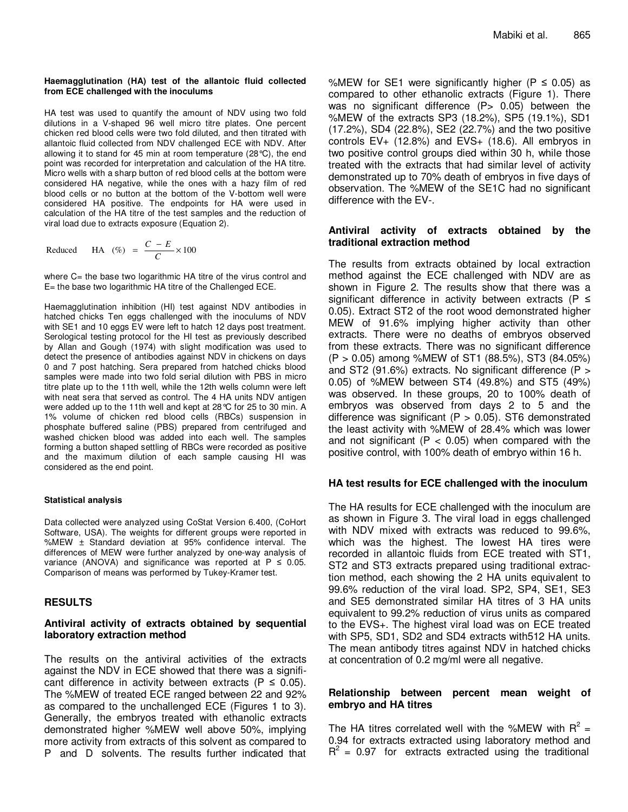#### **Haemagglutination (HA) test of the allantoic fluid collected from ECE challenged with the inoculums**

HA test was used to quantify the amount of NDV using two fold dilutions in a V-shaped 96 well micro titre plates. One percent chicken red blood cells were two fold diluted, and then titrated with allantoic fluid collected from NDV challenged ECE with NDV. After allowing it to stand for 45 min at room temperature (28°C), the end point was recorded for interpretation and calculation of the HA titre. Micro wells with a sharp button of red blood cells at the bottom were considered HA negative, while the ones with a hazy film of red blood cells or no button at the bottom of the V-bottom well were considered HA positive. The endpoints for HA were used in calculation of the HA titre of the test samples and the reduction of viral load due to extracts exposure (Equation 2).

Reduced HA (*%*) = 
$$
\frac{C - E}{C} \times 100
$$

where C= the base two logarithmic HA titre of the virus control and E= the base two logarithmic HA titre of the Challenged ECE.

Haemagglutination inhibition (HI) test against NDV antibodies in hatched chicks Ten eggs challenged with the inoculums of NDV with SE1 and 10 eggs EV were left to hatch 12 days post treatment. Serological testing protocol for the HI test as previously described by Allan and Gough (1974) with slight modification was used to detect the presence of antibodies against NDV in chickens on days 0 and 7 post hatching. Sera prepared from hatched chicks blood samples were made into two fold serial dilution with PBS in micro titre plate up to the 11th well, while the 12th wells column were left with neat sera that served as control. The 4 HA units NDV antigen were added up to the 11th well and kept at 28°C for 25 to 30 min. A 1% volume of chicken red blood cells (RBCs) suspension in phosphate buffered saline (PBS) prepared from centrifuged and washed chicken blood was added into each well. The samples forming a button shaped settling of RBCs were recorded as positive and the maximum dilution of each sample causing HI was considered as the end point.

#### **Statistical analysis**

Data collected were analyzed using CoStat Version 6.400, (CoHort Software, USA). The weights for different groups were reported in %MEW ± Standard deviation at 95% confidence interval. The differences of MEW were further analyzed by one-way analysis of variance (ANOVA) and significance was reported at  $P \le 0.05$ . Comparison of means was performed by Tukey-Kramer test.

# **RESULTS**

### **Antiviral activity of extracts obtained by sequential laboratory extraction method**

The results on the antiviral activities of the extracts against the NDV in ECE showed that there was a significant difference in activity between extracts ( $P \le 0.05$ ). The %MEW of treated ECE ranged between 22 and 92% as compared to the unchallenged ECE (Figures 1 to 3). Generally, the embryos treated with ethanolic extracts demonstrated higher %MEW well above 50%, implying more activity from extracts of this solvent as compared to P and D solvents. The results further indicated that %MEW for SE1 were significantly higher ( $P \le 0.05$ ) as compared to other ethanolic extracts (Figure 1). There was no significant difference (P> 0.05) between the %MEW of the extracts SP3 (18.2%), SP5 (19.1%), SD1 (17.2%), SD4 (22.8%), SE2 (22.7%) and the two positive controls  $EV_{+}$  (12.8%) and  $EV_{+}$  (18.6). All embryos in two positive control groups died within 30 h, while those treated with the extracts that had similar level of activity demonstrated up to 70% death of embryos in five days of observation. The %MEW of the SE1C had no significant difference with the EV-.

## **Antiviral activity of extracts obtained by the traditional extraction method**

The results from extracts obtained by local extraction method against the ECE challenged with NDV are as shown in Figure 2. The results show that there was a significant difference in activity between extracts ( $P \leq$ 0.05). Extract ST2 of the root wood demonstrated higher MEW of 91.6% implying higher activity than other extracts. There were no deaths of embryos observed from these extracts. There was no significant difference (P > 0.05) among %MEW of ST1 (88.5%), ST3 (84.05%) and ST2 (91.6%) extracts. No significant difference (P > 0.05) of %MEW between ST4 (49.8%) and ST5 (49%) was observed. In these groups, 20 to 100% death of embryos was observed from days 2 to 5 and the difference was significant (P  $>$  0.05). ST6 demonstrated the least activity with %MEW of 28.4% which was lower and not significant ( $P < 0.05$ ) when compared with the positive control, with 100% death of embryo within 16 h.

# **HA test results for ECE challenged with the inoculum**

The HA results for ECE challenged with the inoculum are as shown in Figure 3. The viral load in eggs challenged with NDV mixed with extracts was reduced to 99.6%, which was the highest. The lowest HA tires were recorded in allantoic fluids from ECE treated with ST1, ST2 and ST3 extracts prepared using traditional extraction method, each showing the 2 HA units equivalent to 99.6% reduction of the viral load. SP2, SP4, SE1, SE3 and SE5 demonstrated similar HA titres of 3 HA units equivalent to 99.2% reduction of virus units as compared to the EVS+. The highest viral load was on ECE treated with SP5, SD1, SD2 and SD4 extracts with512 HA units. The mean antibody titres against NDV in hatched chicks at concentration of 0.2 mg/ml were all negative.

#### **Relationship between percent mean weight of embryo and HA titres**

The HA titres correlated well with the %MEW with  $R^2 =$ 0.94 for extracts extracted using laboratory method and  $R^2$  = 0.97 for extracts extracted using the traditional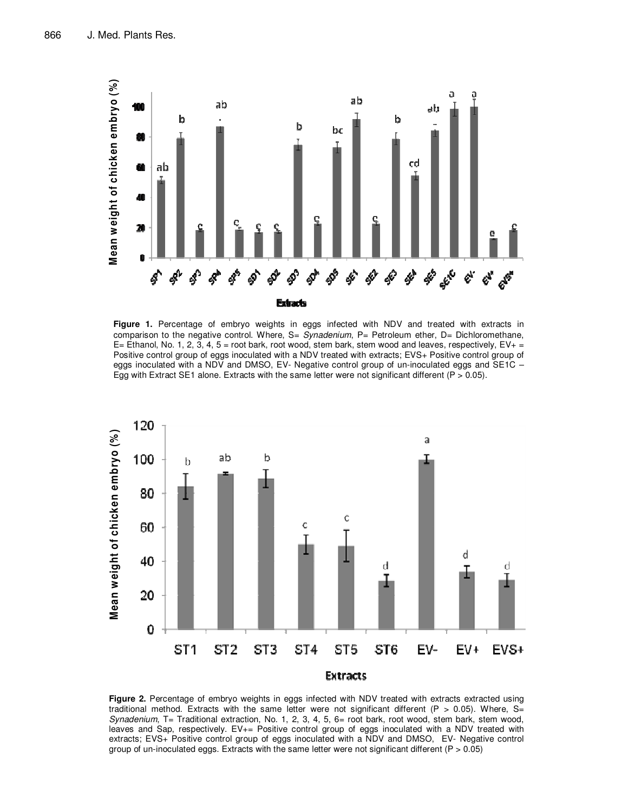

**Figure 1.** Percentage of embryo weights in eggs infected with NDV and treated with extracts in comparison to the negative control. Where, S= *Synadenium*, P= Petroleum ether, D= Dichloromethane, E= Ethanol, No. 1, 2, 3, 4, 5 = root bark, root wood, stem bark, stem wood and leaves, respectively,  $EV_+$  = Positive control group of eggs inoculated with a NDV treated with extracts; EVS+ Positive control group of eggs inoculated with a NDV and DMSO, EV- Negative control group of un-inoculated eggs and SE1C -Egg with Extract SE1 alone. Extracts with the same letter were not significant different ( $P > 0.05$ ).



**Figure 2.** Percentage of embryo weights in eggs infected with NDV treated with extracts extracted using traditional method. Extracts with the same letter were not significant different (P > 0.05). Where, S= *Synadenium*, T= Traditional extraction, No. 1, 2, 3, 4, 5, 6= root bark, root wood, stem bark, stem wood, leaves and Sap, respectively. EV+= Positive control group of eggs inoculated with a NDV treated with extracts; EVS+ Positive control group of eggs inoculated with a NDV and DMSO, EV- Negative control group of un-inoculated eggs. Extracts with the same letter were not significant different ( $P > 0.05$ )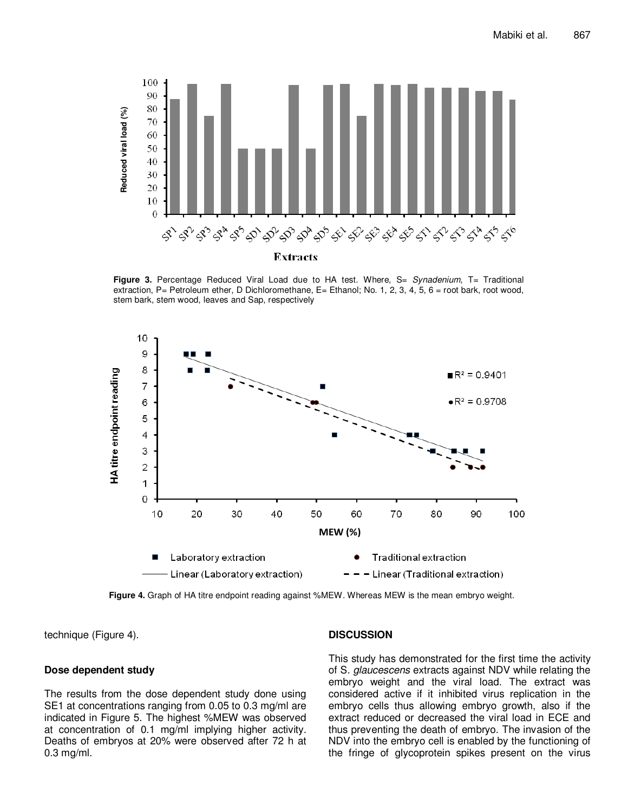

**Figure 3.** Percentage Reduced Viral Load due to HA test. Where, S= *Synadenium*, T= Traditional extraction, P= Petroleum ether, D Dichloromethane, E= Ethanol; No. 1, 2, 3, 4, 5, 6 = root bark, root wood, stem bark, stem wood, leaves and Sap, respectively



**Figure 4.** Graph of HA titre endpoint reading against %MEW. Whereas MEW is the mean embryo weight.

technique (Figure 4).

#### **Dose dependent study**

The results from the dose dependent study done using SE1 at concentrations ranging from 0.05 to 0.3 mg/ml are indicated in Figure 5. The highest %MEW was observed at concentration of 0.1 mg/ml implying higher activity. Deaths of embryos at 20% were observed after 72 h at 0.3 mg/ml.

# **DISCUSSION**

This study has demonstrated for the first time the activity of S*. glaucescens* extracts against NDV while relating the embryo weight and the viral load. The extract was considered active if it inhibited virus replication in the embryo cells thus allowing embryo growth, also if the extract reduced or decreased the viral load in ECE and thus preventing the death of embryo. The invasion of the NDV into the embryo cell is enabled by the functioning of the fringe of glycoprotein spikes present on the virus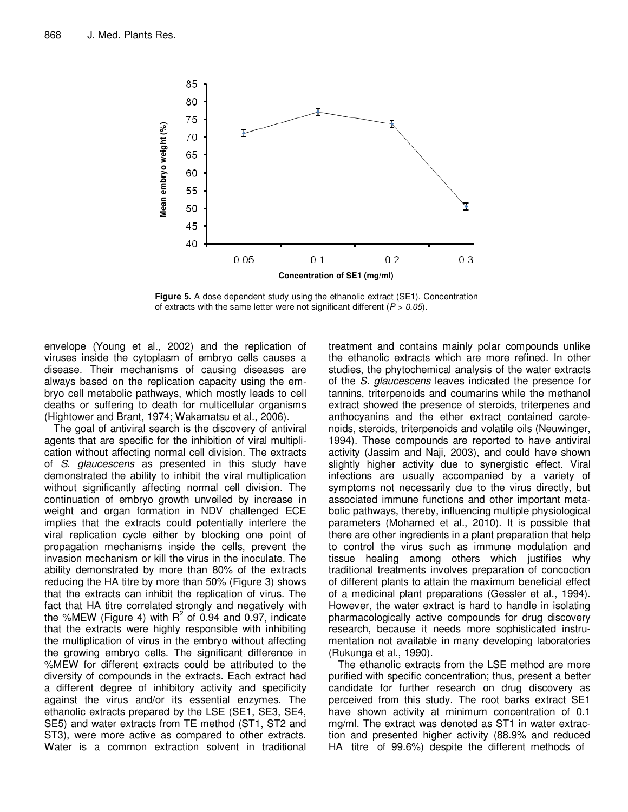

**Figure 5.** A dose dependent study using the ethanolic extract (SE1). Concentration of extracts with the same letter were not significant different (*P* > *0.05*).

envelope (Young et al., 2002) and the replication of viruses inside the cytoplasm of embryo cells causes a disease. Their mechanisms of causing diseases are always based on the replication capacity using the embryo cell metabolic pathways, which mostly leads to cell deaths or suffering to death for multicellular organisms (Hightower and Brant, 1974; Wakamatsu et al., 2006).

The goal of antiviral search is the discovery of antiviral agents that are specific for the inhibition of viral multiplication without affecting normal cell division. The extracts of *S. glaucescens* as presented in this study have demonstrated the ability to inhibit the viral multiplication without significantly affecting normal cell division. The continuation of embryo growth unveiled by increase in weight and organ formation in NDV challenged ECE implies that the extracts could potentially interfere the viral replication cycle either by blocking one point of propagation mechanisms inside the cells, prevent the invasion mechanism or kill the virus in the inoculate. The ability demonstrated by more than 80% of the extracts reducing the HA titre by more than 50% (Figure 3) shows that the extracts can inhibit the replication of virus. The fact that HA titre correlated strongly and negatively with the %MEW (Figure 4) with  $R^2$  of 0.94 and 0.97, indicate that the extracts were highly responsible with inhibiting the multiplication of virus in the embryo without affecting the growing embryo cells. The significant difference in %MEW for different extracts could be attributed to the diversity of compounds in the extracts. Each extract had a different degree of inhibitory activity and specificity against the virus and/or its essential enzymes. The ethanolic extracts prepared by the LSE (SE1, SE3, SE4, SE5) and water extracts from TE method (ST1, ST2 and ST3), were more active as compared to other extracts. Water is a common extraction solvent in traditional

treatment and contains mainly polar compounds unlike the ethanolic extracts which are more refined. In other studies, the phytochemical analysis of the water extracts of the *S. glaucescens* leaves indicated the presence for tannins, triterpenoids and coumarins while the methanol extract showed the presence of steroids, triterpenes and anthocyanins and the ether extract contained carotenoids, steroids, triterpenoids and volatile oils (Neuwinger, 1994). These compounds are reported to have antiviral activity (Jassim and Naji, 2003), and could have shown slightly higher activity due to synergistic effect. Viral infections are usually accompanied by a variety of symptoms not necessarily due to the virus directly, but associated immune functions and other important metabolic pathways, thereby, influencing multiple physiological parameters (Mohamed et al., 2010). It is possible that there are other ingredients in a plant preparation that help to control the virus such as immune modulation and tissue healing among others which justifies why traditional treatments involves preparation of concoction of different plants to attain the maximum beneficial effect of a medicinal plant preparations (Gessler et al., 1994). However, the water extract is hard to handle in isolating pharmacologically active compounds for drug discovery research, because it needs more sophisticated instrumentation not available in many developing laboratories (Rukunga et al., 1990).

The ethanolic extracts from the LSE method are more purified with specific concentration; thus, present a better candidate for further research on drug discovery as perceived from this study. The root barks extract SE1 have shown activity at minimum concentration of 0.1 mg/ml. The extract was denoted as ST1 in water extraction and presented higher activity (88.9% and reduced HA titre of 99.6%) despite the different methods of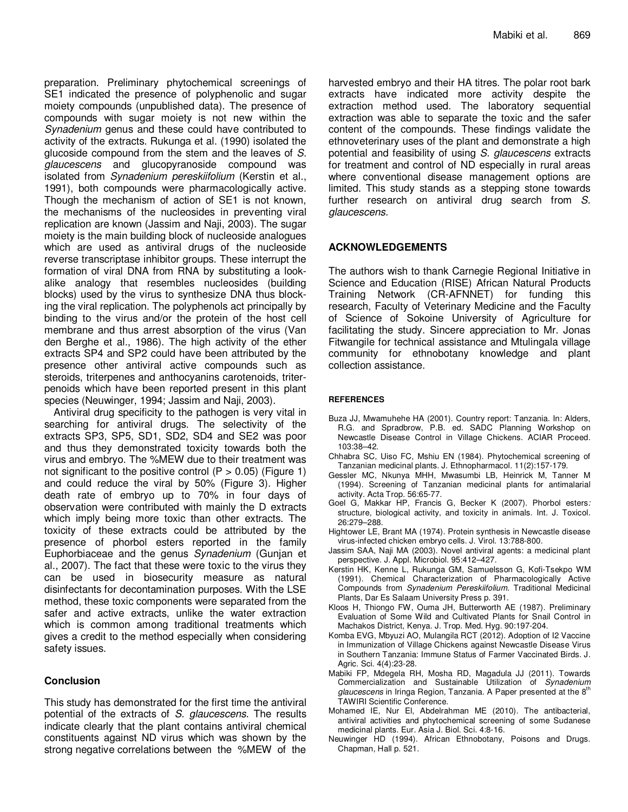preparation. Preliminary phytochemical screenings of SE1 indicated the presence of polyphenolic and sugar moiety compounds (unpublished data). The presence of compounds with sugar moiety is not new within the *Synadenium* genus and these could have contributed to activity of the extracts. Rukunga et al. (1990) isolated the glucoside compound from the stem and the leaves of *S. glaucescens* and glucopyranoside compound was isolated from *Synadenium pereskiifolium* (Kerstin et al., 1991), both compounds were pharmacologically active. Though the mechanism of action of SE1 is not known, the mechanisms of the nucleosides in preventing viral replication are known (Jassim and Naji, 2003). The sugar moiety is the main building block of nucleoside analogues which are used as antiviral drugs of the nucleoside reverse transcriptase inhibitor groups. These interrupt the formation of viral DNA from RNA by substituting a lookalike analogy that resembles nucleosides (building blocks) used by the virus to synthesize DNA thus blocking the viral replication. The polyphenols act principally by binding to the virus and/or the protein of the host cell membrane and thus arrest absorption of the virus (Van den Berghe et al., 1986). The high activity of the ether extracts SP4 and SP2 could have been attributed by the presence other antiviral active compounds such as steroids, triterpenes and anthocyanins carotenoids, triterpenoids which have been reported present in this plant species (Neuwinger, 1994; Jassim and Naji, 2003).

Antiviral drug specificity to the pathogen is very vital in searching for antiviral drugs. The selectivity of the extracts SP3, SP5, SD1, SD2, SD4 and SE2 was poor and thus they demonstrated toxicity towards both the virus and embryo. The %MEW due to their treatment was not significant to the positive control ( $P > 0.05$ ) (Figure 1) and could reduce the viral by 50% (Figure 3). Higher death rate of embryo up to 70% in four days of observation were contributed with mainly the D extracts which imply being more toxic than other extracts. The toxicity of these extracts could be attributed by the presence of phorbol esters reported in the family Euphorbiaceae and the genus *Synadenium* (Gunjan et al., 2007). The fact that these were toxic to the virus they can be used in biosecurity measure as natural disinfectants for decontamination purposes. With the LSE method, these toxic components were separated from the safer and active extracts, unlike the water extraction which is common among traditional treatments which gives a credit to the method especially when considering safety issues.

# **Conclusion**

This study has demonstrated for the first time the antiviral potential of the extracts of *S. glaucescens*. The results indicate clearly that the plant contains antiviral chemical constituents against ND virus which was shown by the strong negative correlations between the %MEW of the harvested embryo and their HA titres. The polar root bark extracts have indicated more activity despite the extraction method used. The laboratory sequential extraction was able to separate the toxic and the safer content of the compounds. These findings validate the ethnoveterinary uses of the plant and demonstrate a high potential and feasibility of using *S. glaucescens* extracts for treatment and control of ND especially in rural areas where conventional disease management options are limited. This study stands as a stepping stone towards further research on antiviral drug search from *S. glaucescens.*

#### **ACKNOWLEDGEMENTS**

The authors wish to thank Carnegie Regional Initiative in Science and Education (RISE) African Natural Products Training Network (CR-AFNNET) for funding this research, Faculty of Veterinary Medicine and the Faculty of Science of Sokoine University of Agriculture for facilitating the study. Sincere appreciation to Mr. Jonas Fitwangile for technical assistance and Mtulingala village community for ethnobotany knowledge and plant collection assistance.

#### **REFERENCES**

- Buza JJ, Mwamuhehe HA (2001). Country report: Tanzania. In: Alders, R.G. and Spradbrow, P.B. ed. SADC Planning Workshop on Newcastle Disease Control in Village Chickens. ACIAR Proceed. 103:38–42.
- Chhabra SC, Uiso FC, Mshiu EN (1984). Phytochemical screening of Tanzanian medicinal plants. J. Ethnopharmacol. 11(2):157-179.
- Gessler MC, Nkunya MHH, Mwasumbi LB, Heinrick M, Tanner M (1994). Screening of Tanzanian medicinal plants for antimalarial activity. Acta Trop. 56:65-77.
- Goel G, Makkar HP, Francis G, Becker K (2007). Phorbol esters*:*  structure*,* biological activity, and toxicity in animals. Int. J. Toxicol. 26:279–288.
- Hightower LE, Brant MA (1974). Protein synthesis in Newcastle disease virus-infected chicken embryo cells. J. Virol. 13:788-800.
- Jassim SAA, Naji MA (2003). Novel antiviral agents: a medicinal plant perspective. J. Appl. Microbiol. 95:412–427.
- Kerstin HK, Kenne L, Rukunga GM, Samuelsson G, Kofi-Tsekpo WM (1991). Chemical Characterization of Pharmacologically Active Compounds from *Synadenium Pereskiifolium.* Traditional Medicinal Plants, Dar Es Salaam University Press p. 391.
- Kloos H, Thiongo FW, Ouma JH, Butterworth AE (1987). Preliminary Evaluation of Some Wild and Cultivated Plants for Snail Control in Machakos District, Kenya. J. Trop. Med. Hyg. 90:197-204.
- Komba EVG, Mbyuzi AO, Mulangila RCT (2012). Adoption of I2 Vaccine in Immunization of Village Chickens against Newcastle Disease Virus in Southern Tanzania: Immune Status of Farmer Vaccinated Birds. J. Agric. Sci. 4(4):23-28.
- Mabiki FP, Mdegela RH, Mosha RD, Magadula JJ (2011). Towards Commercialization and Sustainable Utilization of *Synadenium*  glaucescens in Iringa Region, Tanzania. A Paper presented at the 8<sup>th</sup> TAWIRI Scientific Conference.
- Mohamed IE, Nur El, Abdelrahman ME (2010). The antibacterial, antiviral activities and phytochemical screening of some Sudanese medicinal plants. Eur. Asia J. Biol. Sci. 4:8-16*.*
- Neuwinger HD (1994). African Ethnobotany, Poisons and Drugs. Chapman, Hall p. 521.